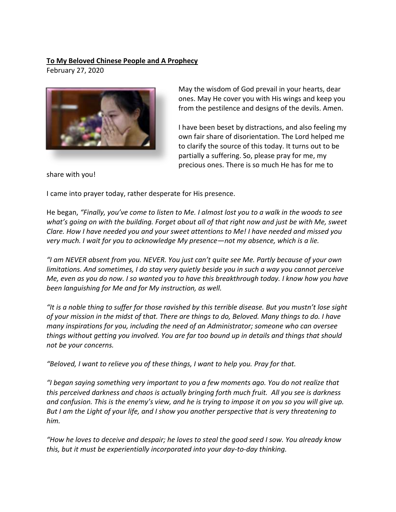## **To My Beloved Chinese People and A Prophecy**

February 27, 2020



May the wisdom of God prevail in your hearts, dear ones. May He cover you with His wings and keep you from the pestilence and designs of the devils. Amen.

I have been beset by distractions, and also feeling my own fair share of disorientation. The Lord helped me to clarify the source of this today. It turns out to be partially a suffering. So, please pray for me, my precious ones. There is so much He has for me to

share with you!

I came into prayer today, rather desperate for His presence.

He began, *"Finally, you've come to listen to Me. I almost lost you to a walk in the woods to see what's going on with the building. Forget about all of that right now and just be with Me, sweet Clare. How I have needed you and your sweet attentions to Me! I have needed and missed you very much. I wait for you to acknowledge My presence—not my absence, which is a lie.* 

*"I am NEVER absent from you. NEVER. You just can't quite see Me. Partly because of your own limitations. And sometimes, I do stay very quietly beside you in such a way you cannot perceive Me, even as you do now. I so wanted you to have this breakthrough today. I know how you have been languishing for Me and for My instruction, as well.*

*"It is a noble thing to suffer for those ravished by this terrible disease. But you mustn't lose sight of your mission in the midst of that. There are things to do, Beloved. Many things to do. I have many inspirations for you, including the need of an Administrator; someone who can oversee things without getting you involved. You are far too bound up in details and things that should not be your concerns.* 

*"Beloved, I want to relieve you of these things, I want to help you. Pray for that.*

*"I began saying something very important to you a few moments ago. You do not realize that this perceived darkness and chaos is actually bringing forth much fruit. All you see is darkness and confusion. This is the enemy's view, and he is trying to impose it on you so you will give up. But I am the Light of your life, and I show you another perspective that is very threatening to him.*

*"How he loves to deceive and despair; he loves to steal the good seed I sow. You already know this, but it must be experientially incorporated into your day-to-day thinking.*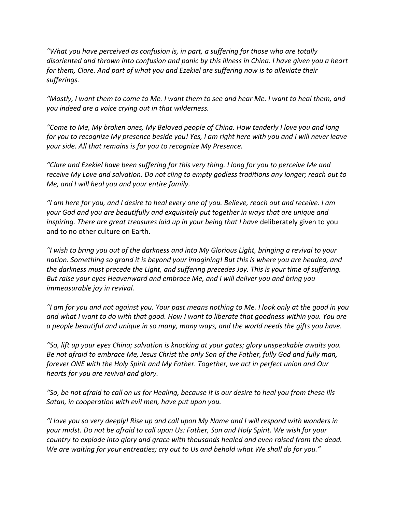*"What you have perceived as confusion is, in part, a suffering for those who are totally disoriented and thrown into confusion and panic by this illness in China. I have given you a heart for them, Clare. And part of what you and Ezekiel are suffering now is to alleviate their sufferings.* 

*"Mostly, I want them to come to Me. I want them to see and hear Me. I want to heal them, and you indeed are a voice crying out in that wilderness.* 

*"Come to Me, My broken ones, My Beloved people of China. How tenderly I love you and long for you to recognize My presence beside you! Yes, I am right here with you and I will never leave your side. All that remains is for you to recognize My Presence.*

*"Clare and Ezekiel have been suffering for this very thing. I long for you to perceive Me and receive My Love and salvation. Do not cling to empty godless traditions any longer; reach out to Me, and I will heal you and your entire family.* 

*"I am here for you, and I desire to heal every one of you. Believe, reach out and receive. I am your God and you are beautifully and exquisitely put together in ways that are unique and inspiring. There are great treasures laid up in your being that I have* deliberately given to you and to no other culture on Earth.

*"I wish to bring you out of the darkness and into My Glorious Light, bringing a revival to your nation. Something so grand it is beyond your imagining! But this is where you are headed, and the darkness must precede the Light, and suffering precedes Joy. This is your time of suffering. But raise your eyes Heavenward and embrace Me, and I will deliver you and bring you immeasurable joy in revival.*

*"I am for you and not against you. Your past means nothing to Me. I look only at the good in you and what I want to do with that good. How I want to liberate that goodness within you. You are a people beautiful and unique in so many, many ways, and the world needs the gifts you have.* 

*"So, lift up your eyes China; salvation is knocking at your gates; glory unspeakable awaits you. Be not afraid to embrace Me, Jesus Christ the only Son of the Father, fully God and fully man, forever ONE with the Holy Spirit and My Father. Together, we act in perfect union and Our hearts for you are revival and glory.* 

*"So, be not afraid to call on us for Healing, because it is our desire to heal you from these ills Satan, in cooperation with evil men, have put upon you.*

*"I love you so very deeply! Rise up and call upon My Name and I will respond with wonders in your midst. Do not be afraid to call upon Us: Father, Son and Holy Spirit. We wish for your country to explode into glory and grace with thousands healed and even raised from the dead. We are waiting for your entreaties; cry out to Us and behold what We shall do for you."*